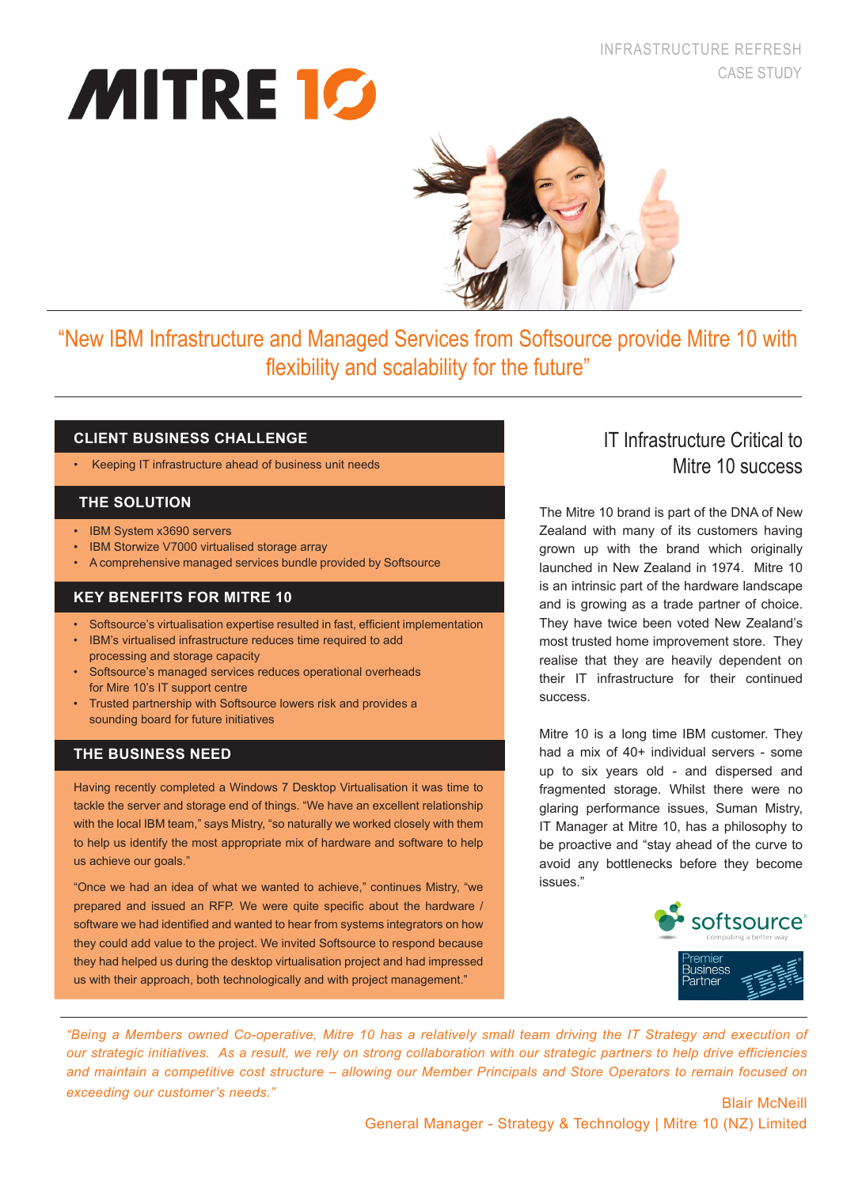# INFRASTRUCTURE REFRESH CASE STUDY

# **MITRE 10**



"New IBM Infrastructure and Managed Services from Softsource provide Mitre 10 with flexibility and scalability for the future"

# **CLIENT BUSINESS CHALLENGE**

• Keeping IT infrastructure ahead of business unit needs

# **THE SOLUTION**

- • IBM System x3690 servers
- **IBM Storwize V7000 virtualised storage array**
- • A comprehensive managed services bundle provided by Softsource

# **KEY BENEFITS FOR MITRE 10**

- Softsource's virtualisation expertise resulted in fast, efficient implementation
- IBM's virtualised infrastructure reduces time required to add processing and storage capacity
- Softsource's managed services reduces operational overheads for Mire 10's IT support centre
- Trusted partnership with Softsource lowers risk and provides a sounding board for future initiatives

# **THE BUSINESS NEED**

Having recently completed a Windows 7 Desktop Virtualisation it was time to tackle the server and storage end of things. "We have an excellent relationship with the local IBM team," says Mistry, "so naturally we worked closely with them to help us identify the most appropriate mix of hardware and software to help us achieve our goals."

"Once we had an idea of what we wanted to achieve," continues Mistry, "we prepared and issued an RFP. We were quite specific about the hardware / software we had identified and wanted to hear from systems integrators on how they could add value to the project. We invited Softsource to respond because they had helped us during the desktop virtualisation project and had impressed us with their approach, both technologically and with project management."

# IT Infrastructure Critical to Mitre 10 success

The Mitre 10 brand is part of the DNA of New Zealand with many of its customers having grown up with the brand which originally launched in New Zealand in 1974. Mitre 10 is an intrinsic part of the hardware landscape and is growing as a trade partner of choice. They have twice been voted New Zealand's most trusted home improvement store. They realise that they are heavily dependent on their IT infrastructure for their continued success.

Mitre 10 is a long time IBM customer. They had a mix of 40+ individual servers - some up to six years old - and dispersed and fragmented storage. Whilst there were no glaring performance issues, Suman Mistry, IT Manager at Mitre 10, has a philosophy to be proactive and "stay ahead of the curve to avoid any bottlenecks before they become issues."



*"Being a Members owned Co-operative, Mitre 10 has a relatively small team driving the IT Strategy and execution of our strategic initiatives. As a result, we rely on strong collaboration with our strategic partners to help drive efficiencies and maintain a competitive cost structure – allowing our Member Principals and Store Operators to remain focused on exceeding our customer's needs."* Blair McNeill